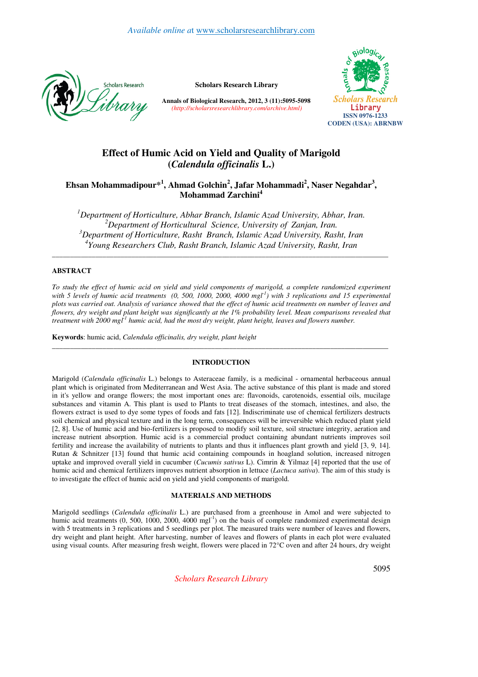

**Scholars Research Library**

**Annals of Biological Research, 2012, 3 (11):5095-5098** *(http://scholarsresearchlibrary.com/archive.html)*



# **Effect of Humic Acid on Yield and Quality of Marigold (***Calendula officinalis* **L.)**

**Ehsan Mohammadipour\*<sup>1</sup> , Ahmad Golchin<sup>2</sup> , Jafar Mohammadi<sup>2</sup> , Naser Negahdar<sup>3</sup> , Mohammad Zarchini<sup>4</sup>**

*Department of Horticulture, Abhar Branch, Islamic Azad University, Abhar, Iran. Department of Horticultural Science, University of Zanjan, Iran. Department of Horticulture, Rasht Branch, Islamic Azad University, Rasht, Iran Young Researchers Club, Rasht Branch, Islamic Azad University, Rasht, Iran*

\_\_\_\_\_\_\_\_\_\_\_\_\_\_\_\_\_\_\_\_\_\_\_\_\_\_\_\_\_\_\_\_\_\_\_\_\_\_\_\_\_\_\_\_\_\_\_\_\_\_\_\_\_\_\_\_\_\_\_\_\_\_\_\_\_\_\_\_\_\_\_\_\_\_\_\_\_\_\_\_\_\_\_\_\_\_\_\_\_\_\_\_\_

## **ABSTRACT**

*To study the effect of humic acid on yield and yield components of marigold, a complete randomized experiment with 5 levels of humic acid treatments (0, 500, 1000, 2000, 4000 mgl-1 ) with 3 replications and 15 experimental plots was carried out. Analysis of variance showed that the effect of humic acid treatments on number of leaves and flowers, dry weight and plant height was significantly at the 1% probability level. Mean comparisons revealed that treatment with 2000 mgl-1 humic acid, had the most dry weight, plant height, leaves and flowers number.* 

**Keywords**: humic acid, *Calendula officinalis, dry weight, plant height* 

### **INTRODUCTION**

\_\_\_\_\_\_\_\_\_\_\_\_\_\_\_\_\_\_\_\_\_\_\_\_\_\_\_\_\_\_\_\_\_\_\_\_\_\_\_\_\_\_\_\_\_\_\_\_\_\_\_\_\_\_\_\_\_\_\_\_\_\_\_\_\_\_\_\_\_\_\_\_\_\_\_\_\_\_\_\_\_\_\_\_\_\_\_\_\_\_\_\_\_

Marigold (*Calendula officinalis* L.) belongs to Asteraceae family, is a medicinal - ornamental herbaceous annual plant which is originated from Mediterranean and West Asia. The active substance of this plant is made and stored in it's yellow and orange flowers; the most important ones are: flavonoids, carotenoids, essential oils, mucilage substances and vitamin A. This plant is used to Plants to treat diseases of the stomach, intestines, and also, the flowers extract is used to dye some types of foods and fats [12]. Indiscriminate use of chemical fertilizers destructs soil chemical and physical texture and in the long term, consequences will be irreversible which reduced plant yield [2, 8]. Use of humic acid and bio-fertilizers is proposed to modify soil texture, soil structure integrity, aeration and increase nutrient absorption. Humic acid is a commercial product containing abundant nutrients improves soil fertility and increase the availability of nutrients to plants and thus it influences plant growth and yield [3, 9, 14]. Rutan & Schnitzer [13] found that humic acid containing compounds in hoagland solution, increased nitrogen uptake and improved overall yield in cucumber (*Cucumis sativus* L). Cimrin & Yilmaz [4] reported that the use of humic acid and chemical fertilizers improves nutrient absorption in lettuce (*Lactuca sativa*). The aim of this study is to investigate the effect of humic acid on yield and yield components of marigold.

## **MATERIALS AND METHODS**

Marigold seedlings (*Calendula officinalis* L.) are purchased from a greenhouse in Amol and were subjected to humic acid treatments (0, 500, 1000, 2000, 4000 mgl<sup>-1</sup>) on the basis of complete randomized experimental design with 5 treatments in 3 replications and 5 seedlings per plot. The measured traits were number of leaves and flowers, dry weight and plant height. After harvesting, number of leaves and flowers of plants in each plot were evaluated using visual counts. After measuring fresh weight, flowers were placed in 72°C oven and after 24 hours, dry weight

*Scholars Research Library*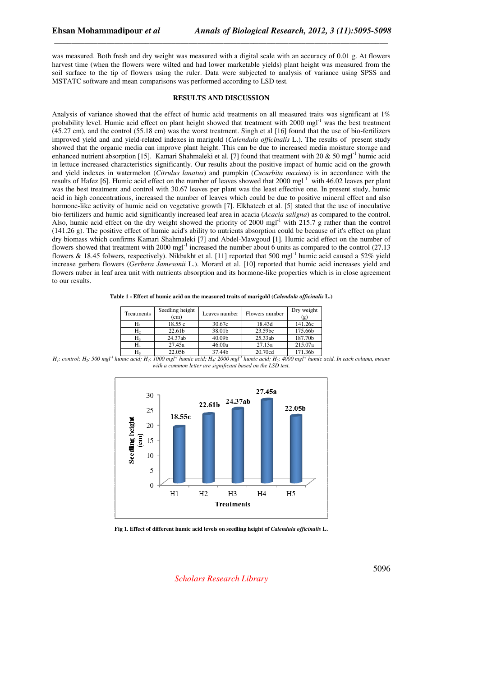was measured. Both fresh and dry weight was measured with a digital scale with an accuracy of 0.01 g. At flowers harvest time (when the flowers were wilted and had lower marketable yields) plant height was measured from the soil surface to the tip of flowers using the ruler. Data were subjected to analysis of variance using SPSS and MSTATC software and mean comparisons was performed according to LSD test.

\_\_\_\_\_\_\_\_\_\_\_\_\_\_\_\_\_\_\_\_\_\_\_\_\_\_\_\_\_\_\_\_\_\_\_\_\_\_\_\_\_\_\_\_\_\_\_\_\_\_\_\_\_\_\_\_\_\_\_\_\_\_\_\_\_\_\_\_\_\_\_\_\_\_\_\_\_

### **RESULTS AND DISCUSSION**

Analysis of variance showed that the effect of humic acid treatments on all measured traits was significant at 1% probability level. Humic acid effect on plant height showed that treatment with  $2000 \text{ mgl}^{-1}$  was the best treatment (45.27 cm), and the control (55.18 cm) was the worst treatment. Singh et al [16] found that the use of bio-fertilizers improved yield and and yield-related indexes in marigold (*Calendula officinalis* L.). The results of present study showed that the organic media can improve plant height. This can be due to increased media moisture storage and enhanced nutrient absorption [15]. Kamari Shahmaleki et al. [7] found that treatment with 20 & 50 mgl<sup>-1</sup> humic acid in lettuce increased characteristics significantly. Our results about the positive impact of humic acid on the growth and yield indexes in watermelon (*Citrulus lanatus*) and pumpkin (*Cucurbita maxima*) is in accordance with the results of Hafez [6]. Humic acid effect on the number of leaves showed that  $2000 \text{ mgl}^{-1}$  with 46.02 leaves per plant was the best treatment and control with 30.67 leaves per plant was the least effective one. In present study, humic acid in high concentrations, increased the number of leaves which could be due to positive mineral effect and also hormone-like activity of humic acid on vegetative growth [7]. Elkhateeb et al. [5] stated that the use of inoculative bio-fertilizers and humic acid significantly increased leaf area in acacia (*Acacia saligna*) as compared to the control. Also, humic acid effect on the dry weight showed the priority of 2000 mgl<sup>-1</sup> with 215.7 g rather than the control (141.26 g). The positive effect of humic acid's ability to nutrients absorption could be because of it's effect on plant dry biomass which confirms Kamari Shahmaleki [7] and Abdel-Mawgoud [1]. Humic acid effect on the number of flowers showed that treatment with 2000 mgl<sup>-1</sup> increased the number about 6 units as compared to the control  $(27.13)$ flowers & 18.45 folwers, respectively). Nikbakht et al. [11] reported that 500 mgl<sup>-1</sup> humic acid caused a 52% yield increase gerbera flowers (*Gerbera Jamesonii* L.). Morard et al. [10] reported that humic acid increases yield and flowers nuber in leaf area unit with nutrients absorption and its hormone-like properties which is in close agreement to our results.

**Table 1 - Effect of humic acid on the measured traits of marigold (***Calendula officinalis* **L.)** 

| Treatments | Seedling height<br>(cm) | Leaves number | Flowers number | Dry weight<br>(g) |
|------------|-------------------------|---------------|----------------|-------------------|
| H۱         | 18.55c                  | 30.67c        | 18.43d         | 141.26c           |
| H۶         | 22.61b                  | 38.01b        | 23.59bc        | 175.66b           |
| H٩         | 24.37ab                 | 40.09b        | 25.33ab        | 187.70b           |
| H,         | 27.45a                  | 46.00a        | 27.13a         | 215.07a           |
| H٠         | 22.05b                  | 37.44b        | 20.70cd        | 171.36b           |

H<sub>1</sub>: control; H<sub>2</sub>: 500 mgl<sup>1</sup> humic acid; H<sub>3</sub>: 1000 mgl<sup>1</sup> humic acid; H<sub>4</sub>: 2000 mgl<sup>1</sup> humic acid; H<sub>5</sub>: 4000 mgl<sup>1</sup> humic acid. In each column, means *with a common letter are significant based on the LSD test.* 



**Fig 1. Effect of different humic acid levels on seedling height of** *Calendula officinalis* **L.**

*Scholars Research Library*

5096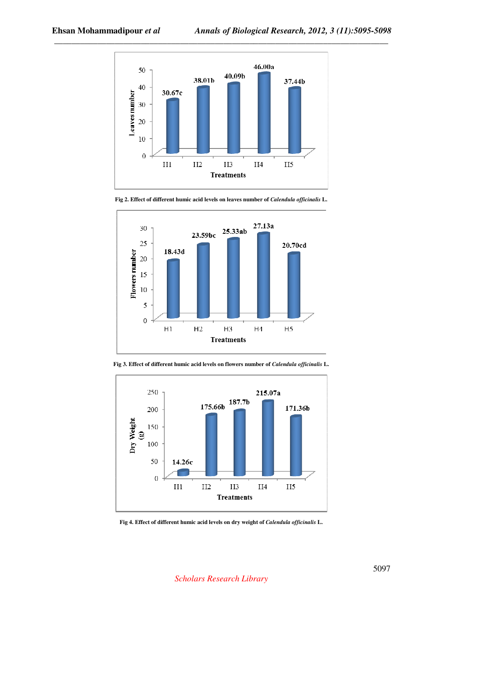





**Fig 3. Effect of different humic acid levels on flowers number of** *Calendula officinalis* **L.**



**Fig 4. Effect of different humic acid levels on dry weight of** *Calendula officinalis* **L.**

*Scholars Research Library*

5097